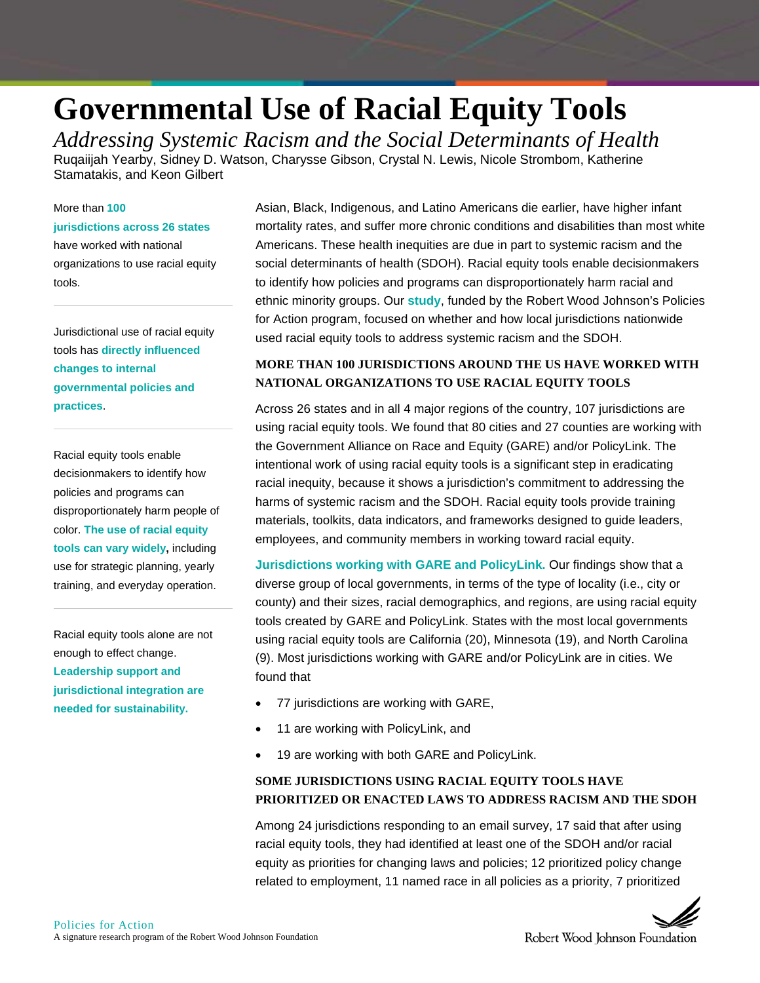# **Governmental Use of Racial Equity Tools**

*Addressing Systemic Racism and the Social Determinants of Health* Ruqaiijah Yearby, Sidney D. Watson, Charysse Gibson, Crystal N. Lewis, Nicole Strombom, Katherine Stamatakis, and Keon Gilbert

### More than **100**

#### **jurisdictions across 26 states**

have worked with national organizations to use racial equity tools.

Jurisdictional use of racial equity tools has **directly influenced changes to internal governmental policies and practices**.

Racial equity tools enable decisionmakers to identify how policies and programs can disproportionately harm people of color. **The use of racial equity tools can vary widely,** including use for strategic planning, yearly training, and everyday operation.

Racial equity tools alone are not enough to effect change. **Leadership support and jurisdictional integration are needed for sustainability.**

Asian, Black, Indigenous, and Latino Americans die earlier, have higher infant mortality rates, and suffer more chronic conditions and disabilities than most white Americans. These health inequities are due in part to systemic racism and the social determinants of health (SDOH). Racial equity tools enable decisionmakers to identify how policies and programs can disproportionately harm racial and ethnic minority groups. Our **[study](https://ihje.org/wp-content/uploads/2021/12/Governmental-Use-of-Racial-Equity-Tools-to-Address-Systemic-Racism-and-the-Social-Determinants-of-Health.pdf)**, funded by the Robert Wood Johnson's Policies for Action program, focused on whether and how local jurisdictions nationwide used racial equity tools to address systemic racism and the SDOH.

# **MORE THAN 100 JURISDICTIONS AROUND THE US HAVE WORKED WITH NATIONAL ORGANIZATIONS TO USE RACIAL EQUITY TOOLS**

Across 26 states and in all 4 major regions of the country, 107 jurisdictions are using racial equity tools. We found that 80 cities and 27 counties are working with the Government Alliance on Race and Equity (GARE) and/or PolicyLink. The intentional work of using racial equity tools is a significant step in eradicating racial inequity, because it shows a jurisdiction's commitment to addressing the harms of systemic racism and the SDOH. Racial equity tools provide training materials, toolkits, data indicators, and frameworks designed to guide leaders, employees, and community members in working toward racial equity.

**Jurisdictions working with GARE and PolicyLink.** Our findings show that a diverse group of local governments, in terms of the type of locality (i.e., city or county) and their sizes, racial demographics, and regions, are using racial equity tools created by GARE and PolicyLink. States with the most local governments using racial equity tools are California (20), Minnesota (19), and North Carolina (9). Most jurisdictions working with GARE and/or PolicyLink are in cities. We found that

- 77 jurisdictions are working with GARE,
- 11 are working with PolicyLink, and
- 19 are working with both GARE and PolicyLink.

## **SOME JURISDICTIONS USING RACIAL EQUITY TOOLS HAVE PRIORITIZED OR ENACTED LAWS TO ADDRESS RACISM AND THE SDOH**

Among 24 jurisdictions responding to an email survey, 17 said that after using racial equity tools, they had identified at least one of the SDOH and/or racial equity as priorities for changing laws and policies; 12 prioritized policy change related to employment, 11 named race in all policies as a priority, 7 prioritized